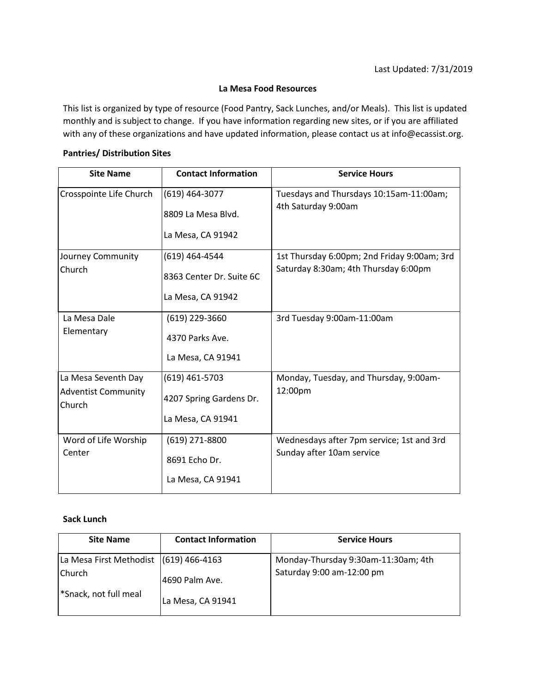#### **La Mesa Food Resources**

This list is organized by type of resource (Food Pantry, Sack Lunches, and/or Meals). This list is updated monthly and is subject to change. If you have information regarding new sites, or if you are affiliated with any of these organizations and have updated information, please contact us at info@ecassist.org.

### **Pantries/ Distribution Sites**

| <b>Site Name</b>                                            | <b>Contact Information</b>                                      | <b>Service Hours</b>                                                                |
|-------------------------------------------------------------|-----------------------------------------------------------------|-------------------------------------------------------------------------------------|
| Crosspointe Life Church                                     | $(619)$ 464-3077<br>8809 La Mesa Blvd.<br>La Mesa, CA 91942     | Tuesdays and Thursdays 10:15am-11:00am;<br>4th Saturday 9:00am                      |
| Journey Community<br>Church                                 | (619) 464-4544<br>8363 Center Dr. Suite 6C<br>La Mesa, CA 91942 | 1st Thursday 6:00pm; 2nd Friday 9:00am; 3rd<br>Saturday 8:30am; 4th Thursday 6:00pm |
| La Mesa Dale<br>Elementary                                  | (619) 229-3660<br>4370 Parks Ave.<br>La Mesa, CA 91941          | 3rd Tuesday 9:00am-11:00am                                                          |
| La Mesa Seventh Day<br><b>Adventist Community</b><br>Church | (619) 461-5703<br>4207 Spring Gardens Dr.<br>La Mesa, CA 91941  | Monday, Tuesday, and Thursday, 9:00am-<br>12:00pm                                   |
| Word of Life Worship<br>Center                              | $(619)$ 271-8800<br>8691 Echo Dr.<br>La Mesa, CA 91941          | Wednesdays after 7pm service; 1st and 3rd<br>Sunday after 10am service              |

### **Sack Lunch**

| <b>Site Name</b>                       | <b>Contact Information</b> | <b>Service Hours</b>                |
|----------------------------------------|----------------------------|-------------------------------------|
| La Mesa First Methodist (619) 466-4163 |                            | Monday-Thursday 9:30am-11:30am; 4th |
| <b>Church</b>                          | 4690 Palm Ave.             | Saturday 9:00 am-12:00 pm           |
| <sup>*</sup> Snack, not full meal      | La Mesa, CA 91941          |                                     |